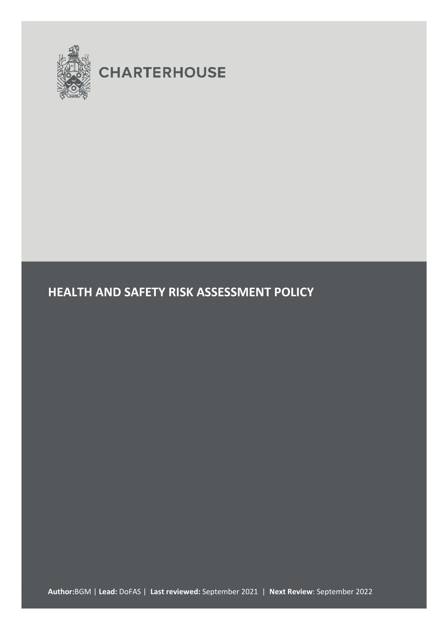

# **CHARTERHOUSE**

# **HEALTH AND SAFETY RISK ASSESSMENT POLICY**

**Author:**BGM | **Lead:** DoFAS | **Last reviewed:** September 2021 | **Next Review**: September 2022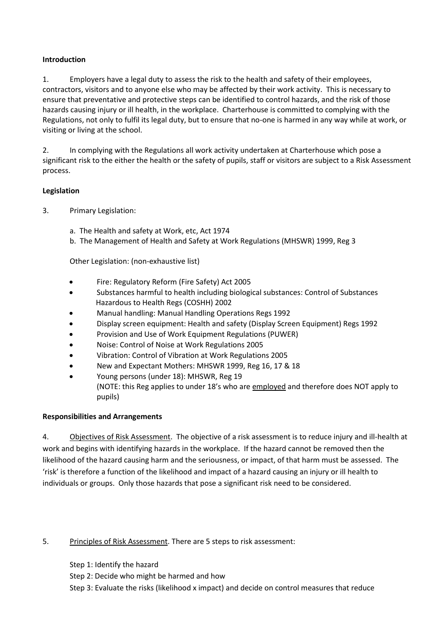## **Introduction**

1. Employers have a legal duty to assess the risk to the health and safety of their employees, contractors, visitors and to anyone else who may be affected by their work activity. This is necessary to ensure that preventative and protective steps can be identified to control hazards, and the risk of those hazards causing injury or ill health, in the workplace. Charterhouse is committed to complying with the Regulations, not only to fulfil its legal duty, but to ensure that no-one is harmed in any way while at work, or visiting or living at the school.

2. In complying with the Regulations all work activity undertaken at Charterhouse which pose a significant risk to the either the health or the safety of pupils, staff or visitors are subject to a Risk Assessment process.

# **Legislation**

- 3. Primary Legislation:
	- a. The Health and safety at Work, etc, Act 1974
	- b. The Management of Health and Safety at Work Regulations (MHSWR) 1999, Reg 3

Other Legislation: (non-exhaustive list)

- Fire: Regulatory Reform (Fire Safety) Act 2005
- Substances harmful to health including biological substances: Control of Substances Hazardous to Health Regs (COSHH) 2002
- Manual handling: Manual Handling Operations Regs 1992
- Display screen equipment: Health and safety (Display Screen Equipment) Regs 1992
- Provision and Use of Work Equipment Regulations (PUWER)
- Noise: Control of Noise at Work Regulations 2005
- Vibration: Control of Vibration at Work Regulations 2005
- New and Expectant Mothers: MHSWR 1999, Reg 16, 17 & 18
- Young persons (under 18): MHSWR, Reg 19 (NOTE: this Reg applies to under 18's who are employed and therefore does NOT apply to pupils)

#### **Responsibilities and Arrangements**

4. Objectives of Risk Assessment. The objective of a risk assessment is to reduce injury and ill-health at work and begins with identifying hazards in the workplace. If the hazard cannot be removed then the likelihood of the hazard causing harm and the seriousness, or impact, of that harm must be assessed. The 'risk' is therefore a function of the likelihood and impact of a hazard causing an injury or ill health to individuals or groups. Only those hazards that pose a significant risk need to be considered.

# 5. Principles of Risk Assessment. There are 5 steps to risk assessment:

Step 1: Identify the hazard Step 2: Decide who might be harmed and how Step 3: Evaluate the risks (likelihood x impact) and decide on control measures that reduce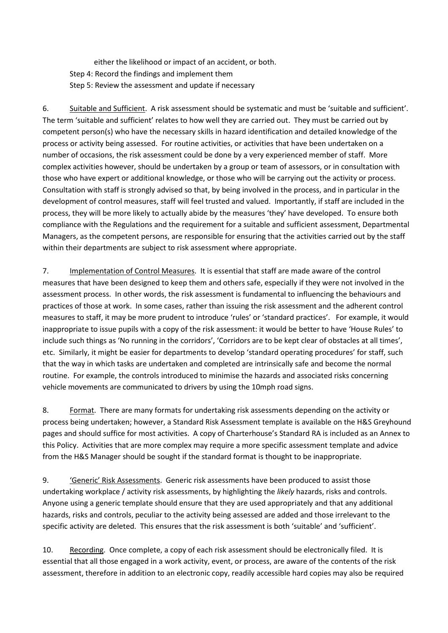either the likelihood or impact of an accident, or both. Step 4: Record the findings and implement them Step 5: Review the assessment and update if necessary

6. Suitable and Sufficient. A risk assessment should be systematic and must be 'suitable and sufficient'. The term 'suitable and sufficient' relates to how well they are carried out. They must be carried out by competent person(s) who have the necessary skills in hazard identification and detailed knowledge of the process or activity being assessed. For routine activities, or activities that have been undertaken on a number of occasions, the risk assessment could be done by a very experienced member of staff. More complex activities however, should be undertaken by a group or team of assessors, or in consultation with those who have expert or additional knowledge, or those who will be carrying out the activity or process. Consultation with staff is strongly advised so that, by being involved in the process, and in particular in the development of control measures, staff will feel trusted and valued. Importantly, if staff are included in the process, they will be more likely to actually abide by the measures 'they' have developed. To ensure both compliance with the Regulations and the requirement for a suitable and sufficient assessment, Departmental Managers, as the competent persons, are responsible for ensuring that the activities carried out by the staff within their departments are subject to risk assessment where appropriate.

7. Implementation of Control Measures. It is essential that staff are made aware of the control measures that have been designed to keep them and others safe, especially if they were not involved in the assessment process. In other words, the risk assessment is fundamental to influencing the behaviours and practices of those at work. In some cases, rather than issuing the risk assessment and the adherent control measures to staff, it may be more prudent to introduce 'rules' or 'standard practices'. For example, it would inappropriate to issue pupils with a copy of the risk assessment: it would be better to have 'House Rules' to include such things as 'No running in the corridors', 'Corridors are to be kept clear of obstacles at all times', etc. Similarly, it might be easier for departments to develop 'standard operating procedures' for staff, such that the way in which tasks are undertaken and completed are intrinsically safe and become the normal routine. For example, the controls introduced to minimise the hazards and associated risks concerning vehicle movements are communicated to drivers by using the 10mph road signs.

8. Format. There are many formats for undertaking risk assessments depending on the activity or process being undertaken; however, a Standard Risk Assessment template is available on the H&S Greyhound pages and should suffice for most activities. A copy of Charterhouse's Standard RA is included as an Annex to this Policy. Activities that are more complex may require a more specific assessment template and advice from the H&S Manager should be sought if the standard format is thought to be inappropriate.

9. 'Generic' Risk Assessments. Generic risk assessments have been produced to assist those undertaking workplace / activity risk assessments, by highlighting the *likely* hazards, risks and controls. Anyone using a generic template should ensure that they are used appropriately and that any additional hazards, risks and controls, peculiar to the activity being assessed are added and those irrelevant to the specific activity are deleted. This ensures that the risk assessment is both 'suitable' and 'sufficient'.

10. Recording. Once complete, a copy of each risk assessment should be electronically filed. It is essential that all those engaged in a work activity, event, or process, are aware of the contents of the risk assessment, therefore in addition to an electronic copy, readily accessible hard copies may also be required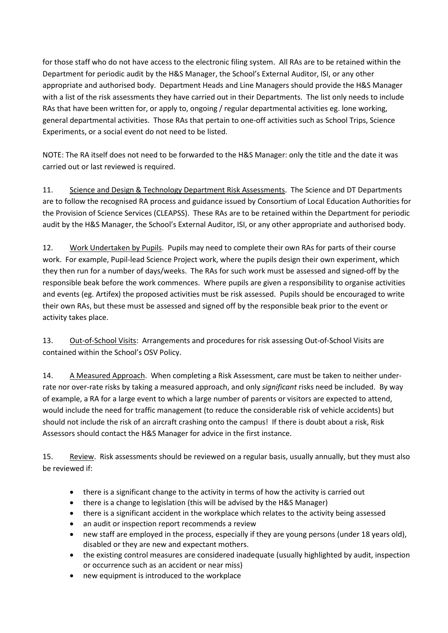for those staff who do not have access to the electronic filing system. All RAs are to be retained within the Department for periodic audit by the H&S Manager, the School's External Auditor, ISI, or any other appropriate and authorised body. Department Heads and Line Managers should provide the H&S Manager with a list of the risk assessments they have carried out in their Departments. The list only needs to include RAs that have been written for, or apply to, ongoing / regular departmental activities eg. lone working, general departmental activities. Those RAs that pertain to one-off activities such as School Trips, Science Experiments, or a social event do not need to be listed.

NOTE: The RA itself does not need to be forwarded to the H&S Manager: only the title and the date it was carried out or last reviewed is required.

11. Science and Design & Technology Department Risk Assessments. The Science and DT Departments are to follow the recognised RA process and guidance issued by Consortium of Local Education Authorities for the Provision of Science Services (CLEAPSS). These RAs are to be retained within the Department for periodic audit by the H&S Manager, the School's External Auditor, ISI, or any other appropriate and authorised body.

12. Work Undertaken by Pupils. Pupils may need to complete their own RAs for parts of their course work. For example, Pupil-lead Science Project work, where the pupils design their own experiment, which they then run for a number of days/weeks. The RAs for such work must be assessed and signed-off by the responsible beak before the work commences. Where pupils are given a responsibility to organise activities and events (eg. Artifex) the proposed activities must be risk assessed. Pupils should be encouraged to write their own RAs, but these must be assessed and signed off by the responsible beak prior to the event or activity takes place.

13. Out-of-School Visits: Arrangements and procedures for risk assessing Out-of-School Visits are contained within the School's OSV Policy.

14. A Measured Approach. When completing a Risk Assessment, care must be taken to neither underrate nor over-rate risks by taking a measured approach, and only *significant* risks need be included. By way of example, a RA for a large event to which a large number of parents or visitors are expected to attend, would include the need for traffic management (to reduce the considerable risk of vehicle accidents) but should not include the risk of an aircraft crashing onto the campus! If there is doubt about a risk, Risk Assessors should contact the H&S Manager for advice in the first instance.

15. Review. Risk assessments should be reviewed on a regular basis, usually annually, but they must also be reviewed if:

- there is a significant change to the activity in terms of how the activity is carried out
- there is a change to legislation (this will be advised by the H&S Manager)
- there is a significant accident in the workplace which relates to the activity being assessed
- an audit or inspection report recommends a review
- new staff are employed in the process, especially if they are young persons (under 18 years old), disabled or they are new and expectant mothers.
- the existing control measures are considered inadequate (usually highlighted by audit, inspection or occurrence such as an accident or near miss)
- new equipment is introduced to the workplace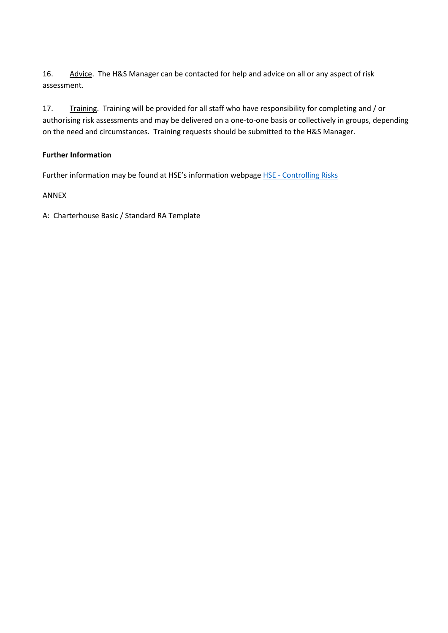16. Advice. The H&S Manager can be contacted for help and advice on all or any aspect of risk assessment.

17. Training. Training will be provided for all staff who have responsibility for completing and / or authorising risk assessments and may be delivered on a one-to-one basis or collectively in groups, depending on the need and circumstances. Training requests should be submitted to the H&S Manager.

# **Further Information**

Further information may be found at HSE's information webpage HSE - [Controlling Risks](http://www.hse.gov.uk/risk/controlling-risks.htm)

# ANNEX

A: Charterhouse Basic / Standard RA Template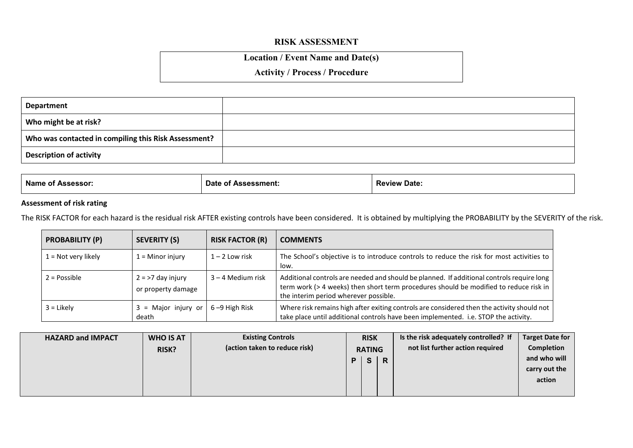# **RISK ASSESSMENT**

# **Location / Event Name and Date(s)**

# **Activity / Process / Procedure**

| Department                                           |  |
|------------------------------------------------------|--|
| Who might be at risk?                                |  |
| Who was contacted in compiling this Risk Assessment? |  |
| <b>Description of activity</b>                       |  |

| <b>Name</b> | Date               | <b>Review</b> |
|-------------|--------------------|---------------|
| Assessor.   | <b>Assessment.</b> | Date.         |
| ΩT          | O1                 |               |

# **Assessment of risk rating**

The RISK FACTOR for each hazard is the residual risk AFTER existing controls have been considered. It is obtained by multiplying the PROBABILITY by the SEVERITY of the risk.

| <b>PROBABILITY (P)</b> | <b>SEVERITY (S)</b>                       | <b>RISK FACTOR (R)</b> | <b>COMMENTS</b>                                                                                                                                                                                                             |
|------------------------|-------------------------------------------|------------------------|-----------------------------------------------------------------------------------------------------------------------------------------------------------------------------------------------------------------------------|
| $1 =$ Not very likely  | $1 =$ Minor injury                        | $1 - 2$ Low risk       | The School's objective is to introduce controls to reduce the risk for most activities to<br>low.                                                                                                                           |
| $2 = Possible$         | $2 = 27$ day injury<br>or property damage | $3 - 4$ Medium risk    | Additional controls are needed and should be planned. If additional controls require long<br>term work (> 4 weeks) then short term procedures should be modified to reduce risk in<br>the interim period wherever possible. |
| $3 =$ Likely           | = Major injury or<br>death                | 6-9 High Risk          | Where risk remains high after exiting controls are considered then the activity should not<br>take place until additional controls have been implemented. i.e. STOP the activity.                                           |

| <b>HAZARD and IMPACT</b> | <b>WHO IS AT</b> | <b>Existing Controls</b>      | <b>RISK</b>   |              |                         | Is the risk adequately controlled? If | <b>Target Date for</b> |
|--------------------------|------------------|-------------------------------|---------------|--------------|-------------------------|---------------------------------------|------------------------|
|                          | <b>RISK?</b>     | (action taken to reduce risk) | <b>RATING</b> |              |                         | not list further action required      | <b>Completion</b>      |
|                          |                  |                               | P             | $\mathbf{s}$ | $\overline{\mathsf{R}}$ |                                       | and who will           |
|                          |                  |                               |               |              |                         |                                       | carry out the          |
|                          |                  |                               |               |              |                         |                                       | action                 |
|                          |                  |                               |               |              |                         |                                       |                        |